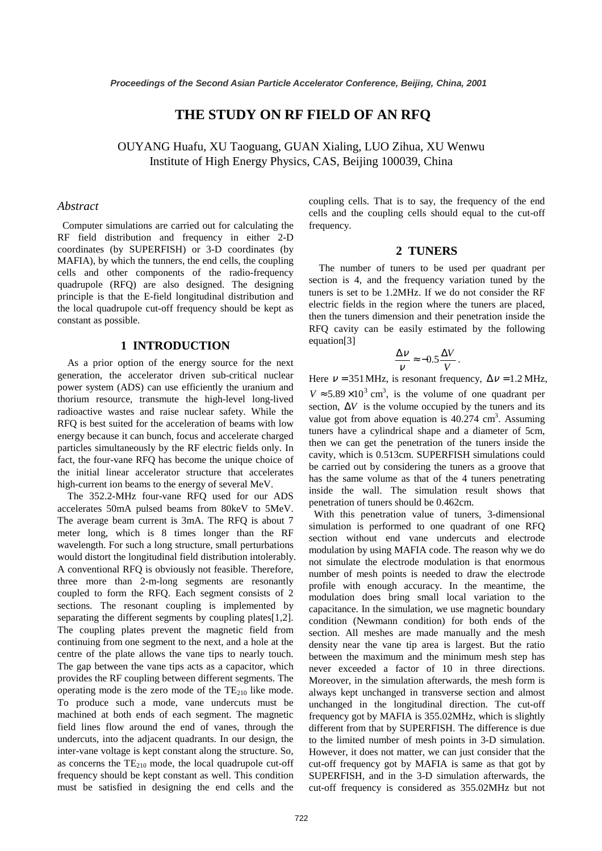# **THE STUDY ON RF FIELD OF AN RFQ**

OUYANG Huafu, XU Taoguang, GUAN Xialing, LUO Zihua, XU Wenwu Institute of High Energy Physics, CAS, Beijing 100039, China

### *Abstract*

Computer simulations are carried out for calculating the RF field distribution and frequency in either 2-D coordinates (by SUPERFISH) or 3-D coordinates (by MAFIA), by which the tunners, the end cells, the coupling cells and other components of the radio-frequency quadrupole (RFQ) are also designed. The designing principle is that the E-field longitudinal distribution and the local quadrupole cut-off frequency should be kept as constant as possible.

# **1 INTRODUCTION**

As a prior option of the energy source for the next generation, the accelerator driven sub-critical nuclear power system (ADS) can use efficiently the uranium and thorium resource, transmute the high-level long-lived radioactive wastes and raise nuclear safety. While the RFQ is best suited for the acceleration of beams with low energy because it can bunch, focus and accelerate charged particles simultaneously by the RF electric fields only. In fact, the four-vane RFQ has become the unique choice of the initial linear accelerator structure that accelerates high-current ion beams to the energy of several MeV.

The 352.2-MHz four-vane RFQ used for our ADS accelerates 50mA pulsed beams from 80keV to 5MeV. The average beam current is 3mA. The RFQ is about 7 meter long, which is 8 times longer than the RF wavelength. For such a long structure, small perturbations would distort the longitudinal field distribution intolerably. A conventional RFQ is obviously not feasible. Therefore, three more than 2-m-long segments are resonantly coupled to form the RFQ. Each segment consists of 2 sections. The resonant coupling is implemented by separating the different segments by coupling plates[1,2]. The coupling plates prevent the magnetic field from continuing from one segment to the next, and a hole at the centre of the plate allows the vane tips to nearly touch. The gap between the vane tips acts as a capacitor, which provides the RF coupling between different segments. The operating mode is the zero mode of the  $TE_{210}$  like mode. To produce such a mode, vane undercuts must be machined at both ends of each segment. The magnetic field lines flow around the end of vanes, through the undercuts, into the adjacent quadrants. In our design, the inter-vane voltage is kept constant along the structure. So, as concerns the  $TE_{210}$  mode, the local quadrupole cut-off frequency should be kept constant as well. This condition must be satisfied in designing the end cells and the

coupling cells. That is to say, the frequency of the end cells and the coupling cells should equal to the cut-off frequency.

## **2 TUNERS**

The number of tuners to be used per quadrant per section is 4, and the frequency variation tuned by the tuners is set to be 1.2MHz. If we do not consider the RF electric fields in the region where the tuners are placed, then the tuners dimension and their penetration inside the RFQ cavity can be easily estimated by the following equation[3]

$$
\frac{\Delta V}{V} \approx -0.5 \frac{\Delta V}{V}.
$$

Here  $v = 351 \text{ MHz}$ , is resonant frequency,  $\Delta v = 1.2 \text{ MHz}$ ,  $V \approx 5.89 \times 10^3$  cm<sup>3</sup>, is the volume of one quadrant per section,  $\Delta V$  is the volume occupied by the tuners and its value got from above equation is  $40.274 \text{ cm}^3$ . Assuming tuners have a cylindrical shape and a diameter of 5cm, then we can get the penetration of the tuners inside the cavity, which is 0.513cm. SUPERFISH simulations could be carried out by considering the tuners as a groove that has the same volume as that of the 4 tuners penetrating inside the wall. The simulation result shows that penetration of tuners should be 0.462cm.

With this penetration value of tuners, 3-dimensional simulation is performed to one quadrant of one RFQ section without end vane undercuts and electrode modulation by using MAFIA code. The reason why we do not simulate the electrode modulation is that enormous number of mesh points is needed to draw the electrode profile with enough accuracy. In the meantime, the modulation does bring small local variation to the capacitance. In the simulation, we use magnetic boundary condition (Newmann condition) for both ends of the section. All meshes are made manually and the mesh density near the vane tip area is largest. But the ratio between the maximum and the minimum mesh step has never exceeded a factor of 10 in three directions. Moreover, in the simulation afterwards, the mesh form is always kept unchanged in transverse section and almost unchanged in the longitudinal direction. The cut-off frequency got by MAFIA is 355.02MHz, which is slightly different from that by SUPERFISH. The difference is due to the limited number of mesh points in 3-D simulation. However, it does not matter, we can just consider that the cut-off frequency got by MAFIA is same as that got by SUPERFISH, and in the 3-D simulation afterwards, the cut-off frequency is considered as 355.02MHz but not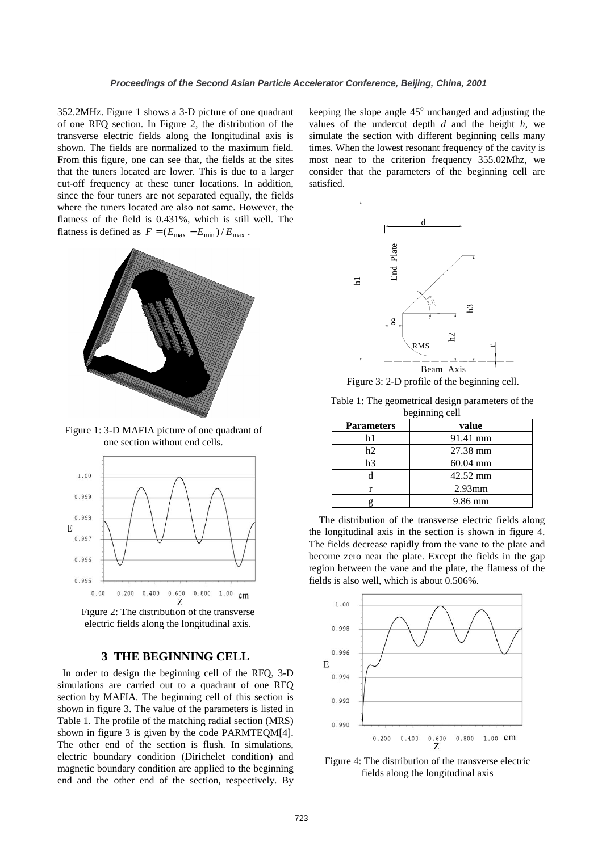352.2MHz. Figure 1 shows a 3-D picture of one quadrant of one RFQ section. In Figure 2, the distribution of the transverse electric fields along the longitudinal axis is shown. The fields are normalized to the maximum field. From this figure, one can see that, the fields at the sites that the tuners located are lower. This is due to a larger cut-off frequency at these tuner locations. In addition, since the four tuners are not separated equally, the fields where the tuners located are also not same. However, the flatness of the field is 0.431%, which is still well. The flatness is defined as  $F = (E_{\text{max}} - E_{\text{min}}) / E_{\text{max}}$ .



Figure 1: 3-D MAFIA picture of one quadrant of one section without end cells.



Figure 2: The distribution of the transverse electric fields along the longitudinal axis.

# **3 THE BEGINNING CELL**

In order to design the beginning cell of the RFQ, 3-D simulations are carried out to a quadrant of one RFQ section by MAFIA. The beginning cell of this section is shown in figure 3. The value of the parameters is listed in Table 1. The profile of the matching radial section (MRS) shown in figure 3 is given by the code PARMTEQM[4]. The other end of the section is flush. In simulations, electric boundary condition (Dirichelet condition) and magnetic boundary condition are applied to the beginning end and the other end of the section, respectively. By keeping the slope angle  $45^\circ$  unchanged and adjusting the values of the undercut depth *d* and the height *h*, we simulate the section with different beginning cells many times. When the lowest resonant frequency of the cavity is most near to the criterion frequency 355.02Mhz, we consider that the parameters of the beginning cell are satisfied.



Figure 3: 2-D profile of the beginning cell.

Table 1: The geometrical design parameters of the beginning cell

| $-$               |                    |
|-------------------|--------------------|
| <b>Parameters</b> | value              |
| h1                | 91.41 mm           |
| h2                | 27.38 mm           |
| h3                | $60.04 \text{ mm}$ |
|                   | 42.52 mm           |
|                   | $2.93$ mm          |
|                   | 9.86 mm            |

The distribution of the transverse electric fields along the longitudinal axis in the section is shown in figure 4. The fields decrease rapidly from the vane to the plate and become zero near the plate. Except the fields in the gap region between the vane and the plate, the flatness of the fields is also well, which is about 0.506%.



Figure 4: The distribution of the transverse electric fields along the longitudinal axis